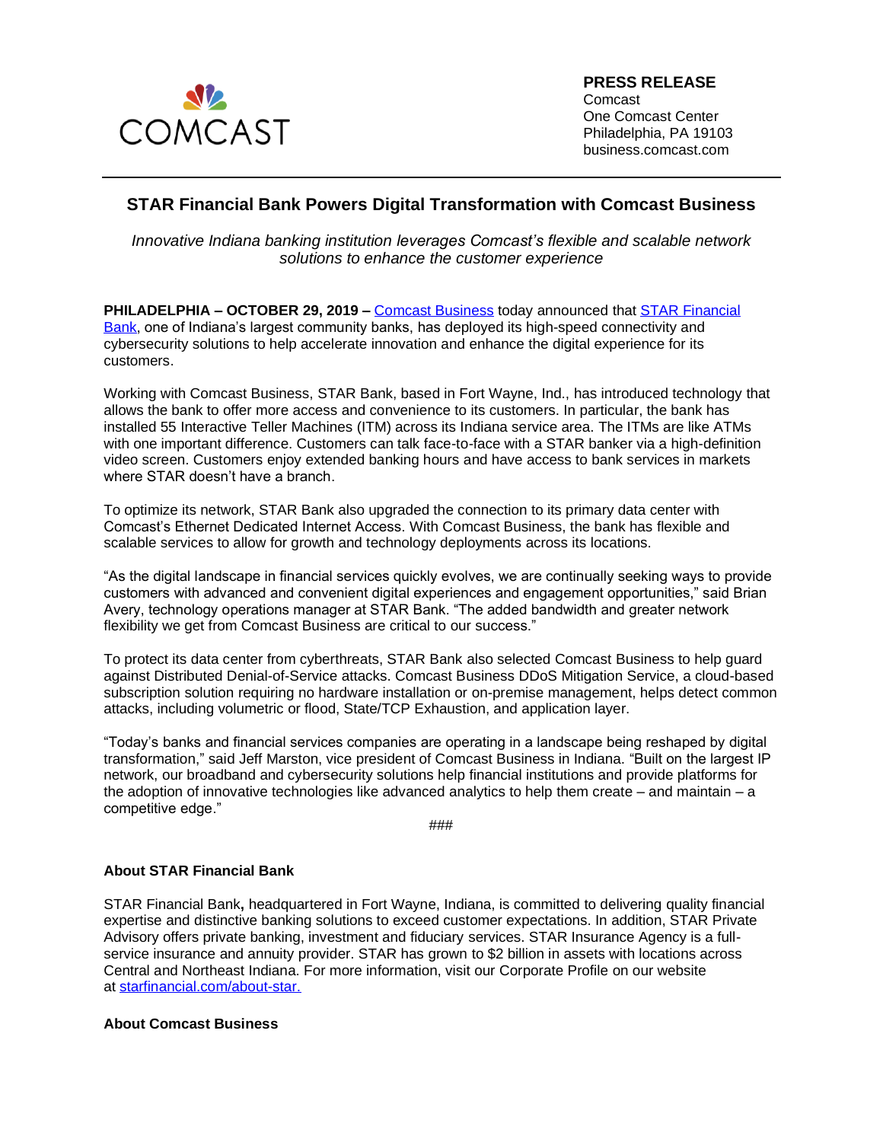

**PRESS RELEASE** Comcast One Comcast Center Philadelphia, PA 19103 business.comcast.com

## **STAR Financial Bank Powers Digital Transformation with Comcast Business**

*Innovative Indiana banking institution leverages Comcast's flexible and scalable network solutions to enhance the customer experience*

**PHILADELPHIA – OCTOBER 29, 2019 –** [Comcast Business](https://business.comcast.com/) today announced that [STAR Financial](https://www.starfinancial.com/)  [Bank,](https://www.starfinancial.com/) one of Indiana's largest community banks, has deployed its high-speed connectivity and cybersecurity solutions to help accelerate innovation and enhance the digital experience for its customers.

Working with Comcast Business, STAR Bank, based in Fort Wayne, Ind., has introduced technology that allows the bank to offer more access and convenience to its customers. In particular, the bank has installed 55 Interactive Teller Machines (ITM) across its Indiana service area. The ITMs are like ATMs with one important difference. Customers can talk face-to-face with a STAR banker via a high-definition video screen. Customers enjoy extended banking hours and have access to bank services in markets where STAR doesn't have a branch.

To optimize its network, STAR Bank also upgraded the connection to its primary data center with Comcast's Ethernet Dedicated Internet Access. With Comcast Business, the bank has flexible and scalable services to allow for growth and technology deployments across its locations.

"As the digital landscape in financial services quickly evolves, we are continually seeking ways to provide customers with advanced and convenient digital experiences and engagement opportunities," said Brian Avery, technology operations manager at STAR Bank. "The added bandwidth and greater network flexibility we get from Comcast Business are critical to our success."

To protect its data center from cyberthreats, STAR Bank also selected Comcast Business to help guard against Distributed Denial-of-Service attacks. Comcast Business DDoS Mitigation Service, a cloud-based subscription solution requiring no hardware installation or on-premise management, helps detect common attacks, including volumetric or flood, State/TCP Exhaustion, and application layer.

"Today's banks and financial services companies are operating in a landscape being reshaped by digital transformation," said Jeff Marston, vice president of Comcast Business in Indiana. "Built on the largest IP network, our broadband and cybersecurity solutions help financial institutions and provide platforms for the adoption of innovative technologies like advanced analytics to help them create – and maintain – a competitive edge."

###

## **About STAR Financial Bank**

[STAR Financial Bank](https://www.starfinancial.com/)**,** headquartered in Fort Wayne, Indiana, is committed to delivering quality financial expertise and distinctive banking solutions to exceed customer expectations. In addition, STAR Private Advisory offers private banking, investment and fiduciary services. STAR Insurance Agency is a fullservice insurance and annuity provider. STAR has grown to \$2 billion in assets with locations across Central and Northeast Indiana. For more information, visit our [Corporate Profile](https://www.starfinancial.com/about-star) on our website at [starfinancial.com/about-star.](https://www.starfinancial.com/about-star)

## **About Comcast Business**